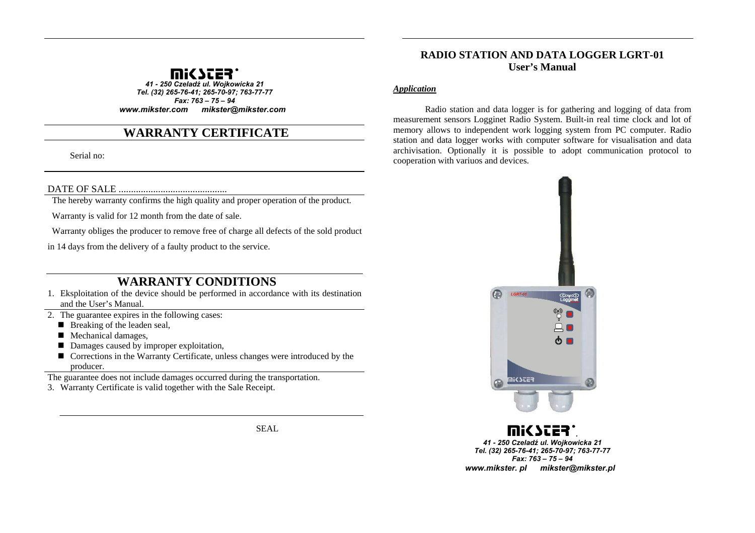

*41 - 250 Czeladź ul. Wojkowicka 21 Tel. (32) 265-76-41; 265-70-97; 763-77-77 Fax: 763 – 75 – 94 www.mikster.com mikster@mikster.com*

# **WARRANTY CERTIFICATE**

Serial no:

DATE OF SALE ............................................

The hereby warranty confirms the high quality and proper operation of the product.

Warranty is valid for 12 month from the date of sale.

Warranty obliges the producer to remove free of charge all defects of the sold product

in 14 days from the delivery of a faulty product to the service.

# **WARRANTY CONDITIONS**

- 1. Eksploitation of the device should be performed in accordance with its destination and the User's Manual.
- 2. The guarantee expires in the following cases:
	- Breaking of the leaden seal,
	- Mechanical damages,
	- Damages caused by improper exploitation,
	- Corrections in the Warranty Certificate, unless changes were introduced by the producer.

The guarantee does not include damages occurred during the transportation.

3. Warranty Certificate is valid together with the Sale Receipt.

SEAL

## **RADIO STATION AND DATA LOGGER LGRT-01 User's Manual**

#### *Application*

Radio station and data logger is for gathering and logging of data from measurement sensors Logginet Radio System. Built-in real time clock and lot of memory allows to independent work logging system from PC computer. Radio station and data logger works with computer software for visualisation and data archivisation. Optionally it is possible to adopt communication protocol to cooperation with variuos and devices.



*. 41 - 250 Czeladź ul. Wojkowicka 21 Tel. (32) 265-76-41; 265-70-97; 763-77-77 Fax: 763 – 75 – 94 www.mikster. pl mikster@mikster.pl*